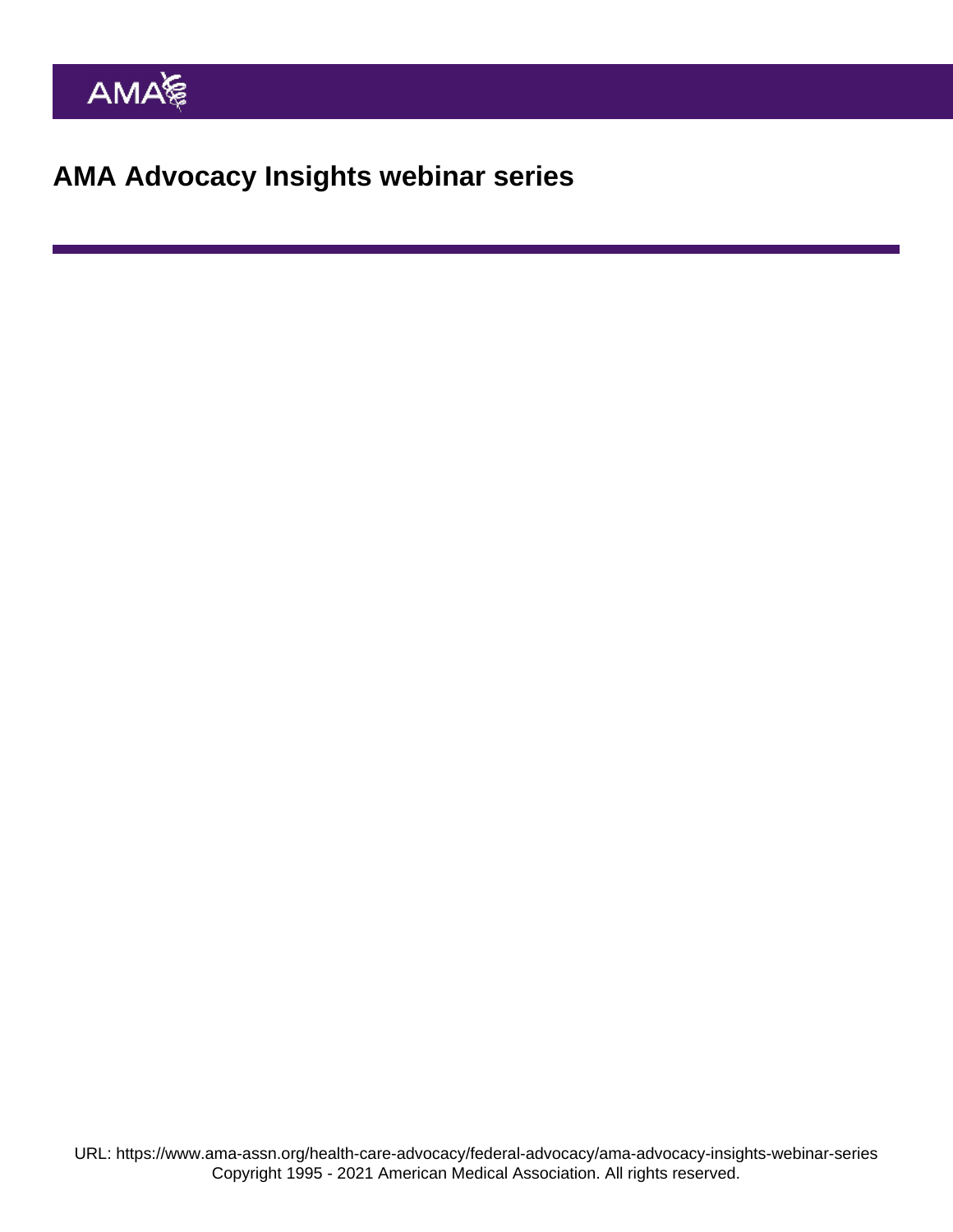AMA Advocacy Insights webinar series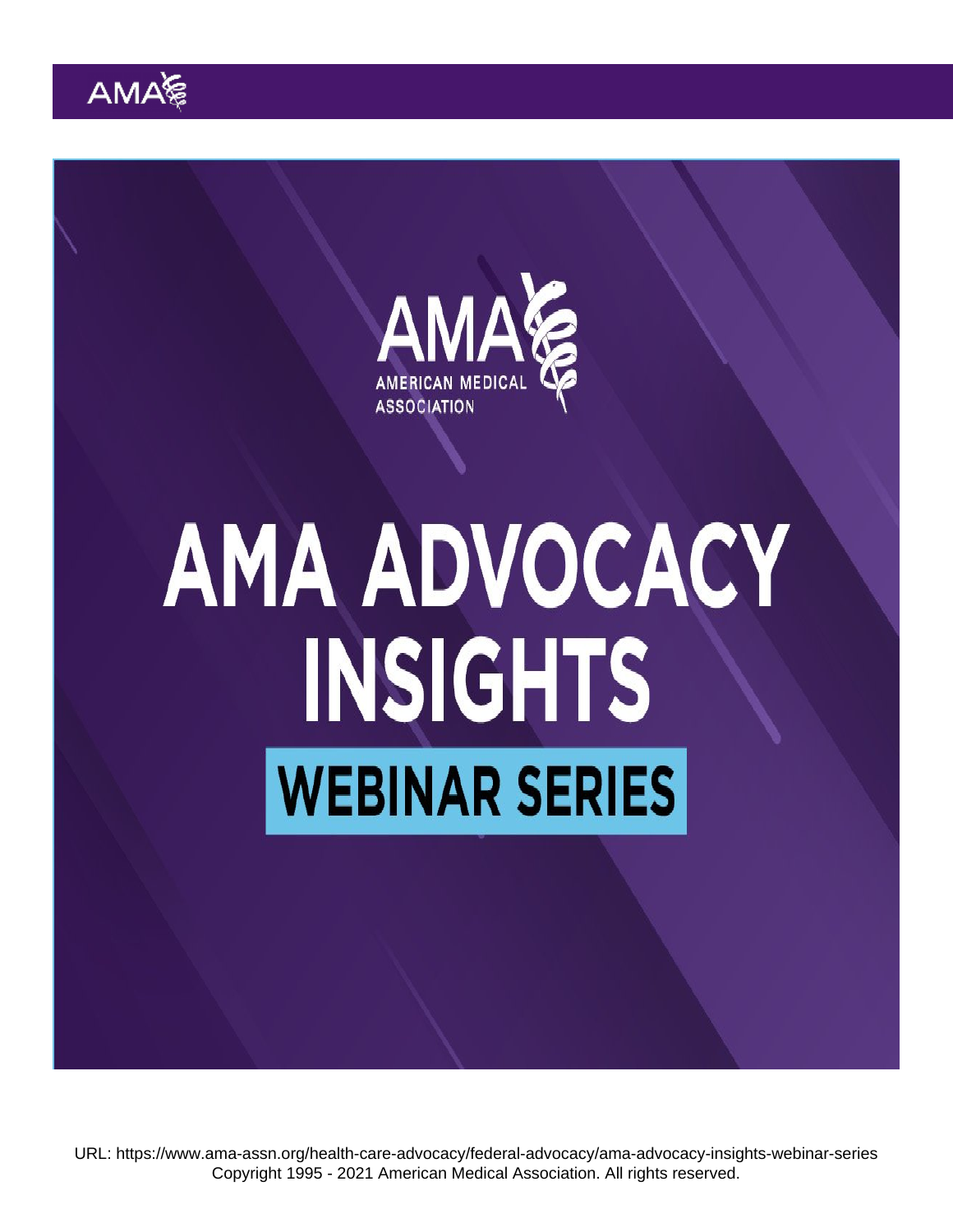URL: <https://www.ama-assn.org/health-care-advocacy/federal-advocacy/ama-advocacy-insights-webinar-series> Copyright 1995 - 2021 American Medical Association. All rights reserved.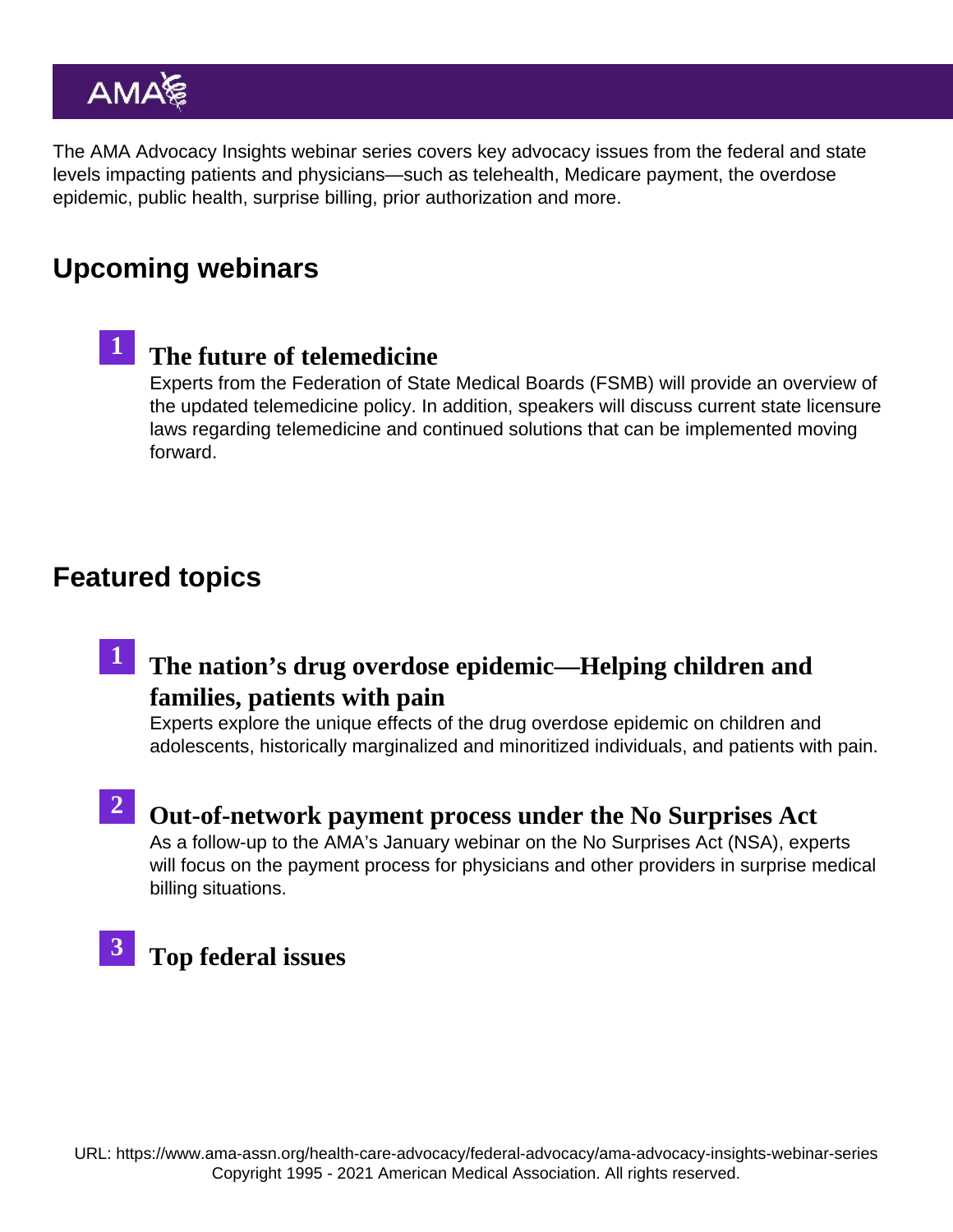The AMA Advocacy Insights webinar series covers key advocacy issues from the federal and state levels impacting patients and physicians—such as telehealth, Medicare payment, the overdose epidemic, public health, surprise billing, prior authorization and more.

# Upcoming webinars



# [The future of telemedicine](https://www.ama-assn.org/practice-management/digital/ama-advocacy-insights-webinar-series-future-telemedicine)

Experts from the Federation of State Medical Boards (FSMB) will provide an overview of the updated telemedicine policy. In addition, speakers will discuss current state licensure laws regarding telemedicine and continued solutions that can be implemented moving forward.

### Featured topics

# 1 [The nation's drug overdose epidemic—Helping children an](https://www.ama-assn.org/delivering-care/overdose-epidemic/ama-advocacy-insights-webinar-series-drug-overdose-epidemic)d [families, patients with pain](https://www.ama-assn.org/delivering-care/overdose-epidemic/ama-advocacy-insights-webinar-series-drug-overdose-epidemic)

Experts explore the unique effects of the drug overdose epidemic on children and adolescents, historically marginalized and minoritized individuals, and patients with pain.

#### 2 [Out-of-network payment process under the No Surprises A](https://www.ama-assn.org/delivering-care/patient-support-advocacy/ama-advocacy-insights-webinar-series-out-network-payment)ct As a follow-up to the AMA's [January webinar](https://www.ama-assn.org/delivering-care/patient-support-advocacy/ama-advocacy-insights-webinar-series-implementing-no) on the No Surprises Act (NSA), experts will focus on the payment process for physicians and other providers in surprise medical

billing situations.



## [Top federal issue](https://www.ama-assn.org/health-care-advocacy/federal-advocacy/ama-advocacy-insights-webinar-series-top-federal-issues)s